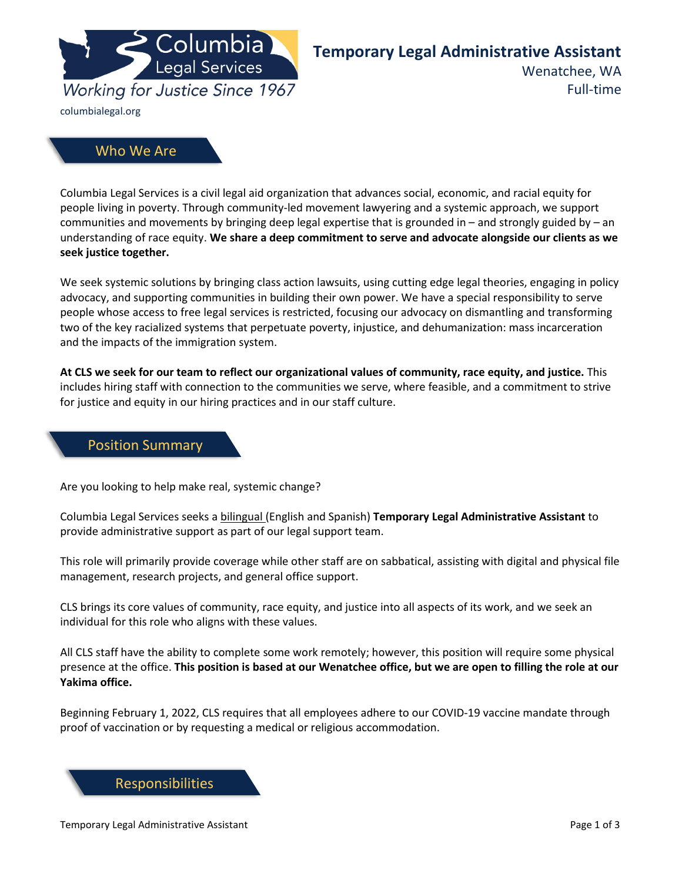

# **Temporary Legal Administrative Assistant**

Wenatchee, WA

Full-time

## Who We Are

Columbia Legal Services is a civil legal aid organization that advances social, economic, and racial equity for people living in poverty. Through community-led movement lawyering and a systemic approach, we support communities and movements by bringing deep legal expertise that is grounded in – and strongly guided by – an understanding of race equity. **We share a deep commitment to serve and advocate alongside our clients as we seek justice together.**

We seek systemic solutions by bringing class action lawsuits, using cutting edge legal theories, engaging in policy advocacy, and supporting communities in building their own power. We have a special responsibility to serve people whose access to free legal services is restricted, focusing our advocacy on dismantling and transforming two of the key racialized systems that perpetuate poverty, injustice, and dehumanization: mass incarceration and the impacts of the immigration system.

**At CLS we seek for our team to reflect our organizational values of community, race equity, and justice.** This includes hiring staff with connection to the communities we serve, where feasible, and a commitment to strive for justice and equity in our hiring practices and in our staff culture.

#### Position Summary

Are you looking to help make real, systemic change?

Columbia Legal Services seeks a bilingual (English and Spanish) **Temporary Legal Administrative Assistant** to provide administrative support as part of our legal support team.

This role will primarily provide coverage while other staff are on sabbatical, assisting with digital and physical file management, research projects, and general office support.

CLS brings its core values of community, race equity, and justice into all aspects of its work, and we seek an individual for this role who aligns with these values.

All CLS staff have the ability to complete some work remotely; however, this position will require some physical presence at the office. **This position is based at our Wenatchee office, but we are open to filling the role at our Yakima office.**

Beginning February 1, 2022, CLS requires that all employees adhere to our COVID-19 vaccine mandate through proof of vaccination or by requesting a medical or religious accommodation.

Responsibilities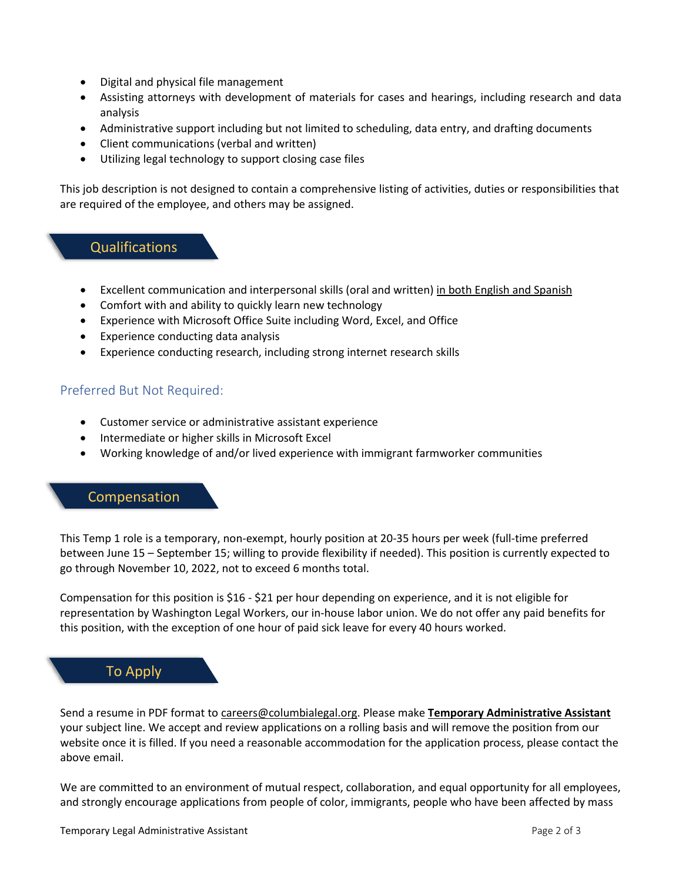- Digital and physical file management
- Assisting attorneys with development of materials for cases and hearings, including research and data analysis
- Administrative support including but not limited to scheduling, data entry, and drafting documents
- Client communications (verbal and written)
- Utilizing legal technology to support closing case files

This job description is not designed to contain a comprehensive listing of activities, duties or responsibilities that are required of the employee, and others may be assigned.

## Qualifications

- Excellent communication and interpersonal skills (oral and written) in both English and Spanish
- Comfort with and ability to quickly learn new technology
- Experience with Microsoft Office Suite including Word, Excel, and Office
- Experience conducting data analysis
- Experience conducting research, including strong internet research skills

### Preferred But Not Required:

- Customer service or administrative assistant experience
- Intermediate or higher skills in Microsoft Excel
- Working knowledge of and/or lived experience with immigrant farmworker communities

### Compensation

This Temp 1 role is a temporary, non-exempt, hourly position at 20-35 hours per week (full-time preferred between June 15 – September 15; willing to provide flexibility if needed). This position is currently expected to go through November 10, 2022, not to exceed 6 months total.

Compensation for this position is \$16 - \$21 per hour depending on experience, and it is not eligible for representation by Washington Legal Workers, our in-house labor union. We do not offer any paid benefits for this position, with the exception of one hour of paid sick leave for every 40 hours worked.

## To Apply

Send a resume in PDF format t[o careers@columbialegal.org.](mailto:careers@columbialegal.org) Please make **Temporary Administrative Assistant** your subject line. We accept and review applications on a rolling basis and will remove the position from our website once it is filled. If you need a reasonable accommodation for the application process, please contact the above email.

We are committed to an environment of mutual respect, collaboration, and equal opportunity for all employees, and strongly encourage applications from people of color, immigrants, people who have been affected by mass